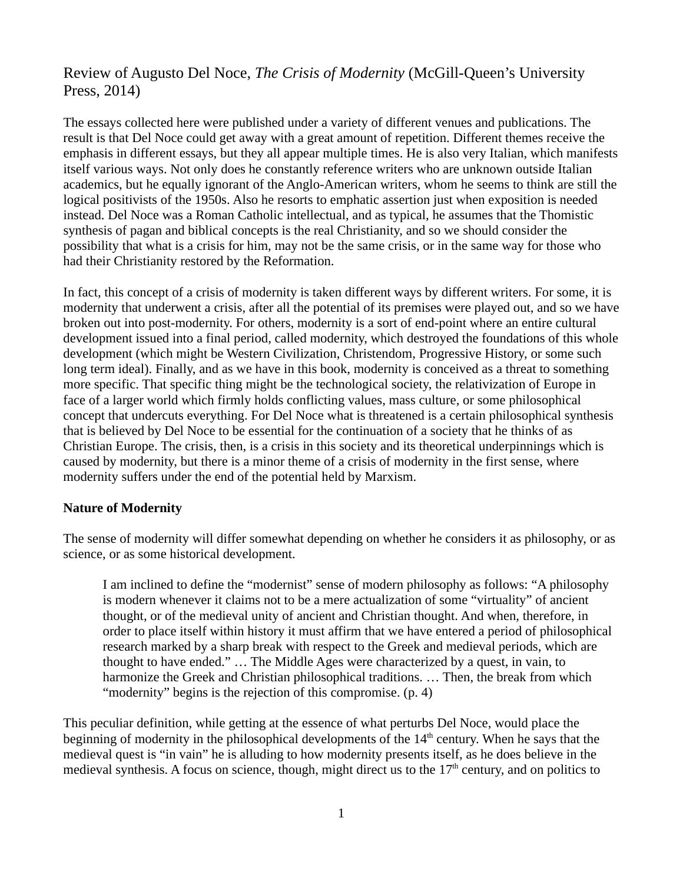# Review of Augusto Del Noce, *The Crisis of Modernity* (McGill-Queen's University Press, 2014)

The essays collected here were published under a variety of different venues and publications. The result is that Del Noce could get away with a great amount of repetition. Different themes receive the emphasis in different essays, but they all appear multiple times. He is also very Italian, which manifests itself various ways. Not only does he constantly reference writers who are unknown outside Italian academics, but he equally ignorant of the Anglo-American writers, whom he seems to think are still the logical positivists of the 1950s. Also he resorts to emphatic assertion just when exposition is needed instead. Del Noce was a Roman Catholic intellectual, and as typical, he assumes that the Thomistic synthesis of pagan and biblical concepts is the real Christianity, and so we should consider the possibility that what is a crisis for him, may not be the same crisis, or in the same way for those who had their Christianity restored by the Reformation.

In fact, this concept of a crisis of modernity is taken different ways by different writers. For some, it is modernity that underwent a crisis, after all the potential of its premises were played out, and so we have broken out into post-modernity. For others, modernity is a sort of end-point where an entire cultural development issued into a final period, called modernity, which destroyed the foundations of this whole development (which might be Western Civilization, Christendom, Progressive History, or some such long term ideal). Finally, and as we have in this book, modernity is conceived as a threat to something more specific. That specific thing might be the technological society, the relativization of Europe in face of a larger world which firmly holds conflicting values, mass culture, or some philosophical concept that undercuts everything. For Del Noce what is threatened is a certain philosophical synthesis that is believed by Del Noce to be essential for the continuation of a society that he thinks of as Christian Europe. The crisis, then, is a crisis in this society and its theoretical underpinnings which is caused by modernity, but there is a minor theme of a crisis of modernity in the first sense, where modernity suffers under the end of the potential held by Marxism.

## **Nature of Modernity**

The sense of modernity will differ somewhat depending on whether he considers it as philosophy, or as science, or as some historical development.

I am inclined to define the "modernist" sense of modern philosophy as follows: "A philosophy is modern whenever it claims not to be a mere actualization of some "virtuality" of ancient thought, or of the medieval unity of ancient and Christian thought. And when, therefore, in order to place itself within history it must affirm that we have entered a period of philosophical research marked by a sharp break with respect to the Greek and medieval periods, which are thought to have ended." … The Middle Ages were characterized by a quest, in vain, to harmonize the Greek and Christian philosophical traditions. … Then, the break from which "modernity" begins is the rejection of this compromise. (p. 4)

This peculiar definition, while getting at the essence of what perturbs Del Noce, would place the beginning of modernity in the philosophical developments of the  $14<sup>th</sup>$  century. When he says that the medieval quest is "in vain" he is alluding to how modernity presents itself, as he does believe in the medieval synthesis. A focus on science, though, might direct us to the  $17<sup>th</sup>$  century, and on politics to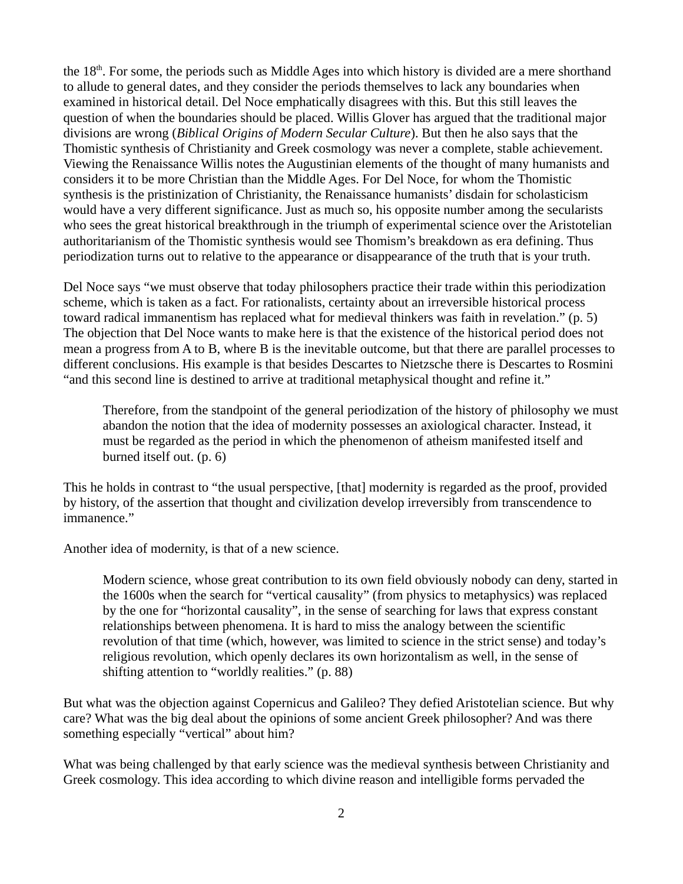the  $18<sup>th</sup>$ . For some, the periods such as Middle Ages into which history is divided are a mere shorthand to allude to general dates, and they consider the periods themselves to lack any boundaries when examined in historical detail. Del Noce emphatically disagrees with this. But this still leaves the question of when the boundaries should be placed. Willis Glover has argued that the traditional major divisions are wrong (*Biblical Origins of Modern Secular Culture*). But then he also says that the Thomistic synthesis of Christianity and Greek cosmology was never a complete, stable achievement. Viewing the Renaissance Willis notes the Augustinian elements of the thought of many humanists and considers it to be more Christian than the Middle Ages. For Del Noce, for whom the Thomistic synthesis is the pristinization of Christianity, the Renaissance humanists' disdain for scholasticism would have a very different significance. Just as much so, his opposite number among the secularists who sees the great historical breakthrough in the triumph of experimental science over the Aristotelian authoritarianism of the Thomistic synthesis would see Thomism's breakdown as era defining. Thus periodization turns out to relative to the appearance or disappearance of the truth that is your truth.

Del Noce says "we must observe that today philosophers practice their trade within this periodization scheme, which is taken as a fact. For rationalists, certainty about an irreversible historical process toward radical immanentism has replaced what for medieval thinkers was faith in revelation." (p. 5) The objection that Del Noce wants to make here is that the existence of the historical period does not mean a progress from A to B, where B is the inevitable outcome, but that there are parallel processes to different conclusions. His example is that besides Descartes to Nietzsche there is Descartes to Rosmini "and this second line is destined to arrive at traditional metaphysical thought and refine it."

Therefore, from the standpoint of the general periodization of the history of philosophy we must abandon the notion that the idea of modernity possesses an axiological character. Instead, it must be regarded as the period in which the phenomenon of atheism manifested itself and burned itself out. (p. 6)

This he holds in contrast to "the usual perspective, [that] modernity is regarded as the proof, provided by history, of the assertion that thought and civilization develop irreversibly from transcendence to immanence."

Another idea of modernity, is that of a new science.

Modern science, whose great contribution to its own field obviously nobody can deny, started in the 1600s when the search for "vertical causality" (from physics to metaphysics) was replaced by the one for "horizontal causality", in the sense of searching for laws that express constant relationships between phenomena. It is hard to miss the analogy between the scientific revolution of that time (which, however, was limited to science in the strict sense) and today's religious revolution, which openly declares its own horizontalism as well, in the sense of shifting attention to "worldly realities." (p. 88)

But what was the objection against Copernicus and Galileo? They defied Aristotelian science. But why care? What was the big deal about the opinions of some ancient Greek philosopher? And was there something especially "vertical" about him?

What was being challenged by that early science was the medieval synthesis between Christianity and Greek cosmology. This idea according to which divine reason and intelligible forms pervaded the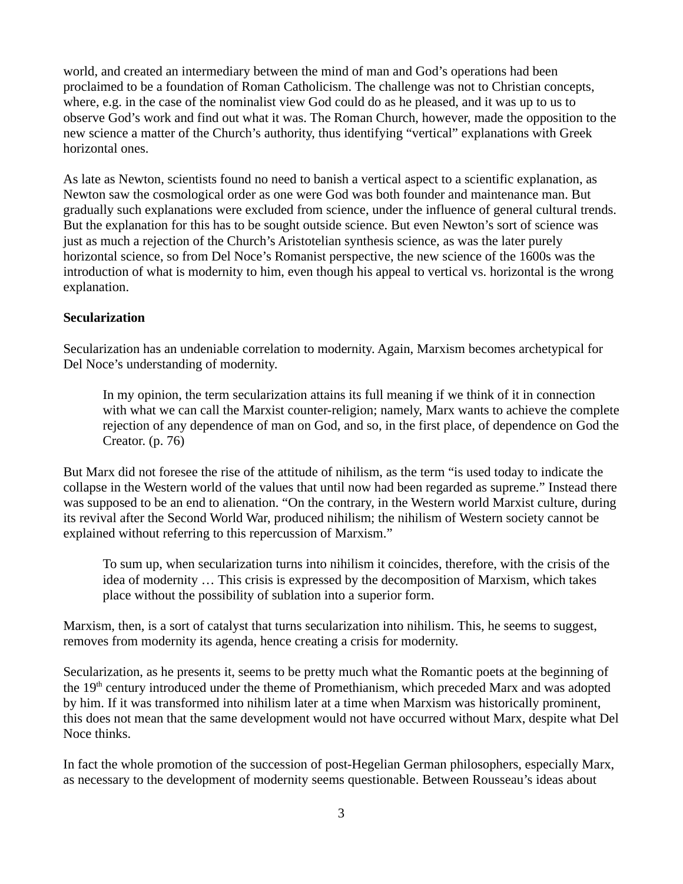world, and created an intermediary between the mind of man and God's operations had been proclaimed to be a foundation of Roman Catholicism. The challenge was not to Christian concepts, where, e.g. in the case of the nominalist view God could do as he pleased, and it was up to us to observe God's work and find out what it was. The Roman Church, however, made the opposition to the new science a matter of the Church's authority, thus identifying "vertical" explanations with Greek horizontal ones.

As late as Newton, scientists found no need to banish a vertical aspect to a scientific explanation, as Newton saw the cosmological order as one were God was both founder and maintenance man. But gradually such explanations were excluded from science, under the influence of general cultural trends. But the explanation for this has to be sought outside science. But even Newton's sort of science was just as much a rejection of the Church's Aristotelian synthesis science, as was the later purely horizontal science, so from Del Noce's Romanist perspective, the new science of the 1600s was the introduction of what is modernity to him, even though his appeal to vertical vs. horizontal is the wrong explanation.

## **Secularization**

Secularization has an undeniable correlation to modernity. Again, Marxism becomes archetypical for Del Noce's understanding of modernity.

In my opinion, the term secularization attains its full meaning if we think of it in connection with what we can call the Marxist counter-religion; namely, Marx wants to achieve the complete rejection of any dependence of man on God, and so, in the first place, of dependence on God the Creator. (p. 76)

But Marx did not foresee the rise of the attitude of nihilism, as the term "is used today to indicate the collapse in the Western world of the values that until now had been regarded as supreme." Instead there was supposed to be an end to alienation. "On the contrary, in the Western world Marxist culture, during its revival after the Second World War, produced nihilism; the nihilism of Western society cannot be explained without referring to this repercussion of Marxism."

To sum up, when secularization turns into nihilism it coincides, therefore, with the crisis of the idea of modernity … This crisis is expressed by the decomposition of Marxism, which takes place without the possibility of sublation into a superior form.

Marxism, then, is a sort of catalyst that turns secularization into nihilism. This, he seems to suggest, removes from modernity its agenda, hence creating a crisis for modernity.

Secularization, as he presents it, seems to be pretty much what the Romantic poets at the beginning of the 19<sup>th</sup> century introduced under the theme of Promethianism, which preceded Marx and was adopted by him. If it was transformed into nihilism later at a time when Marxism was historically prominent, this does not mean that the same development would not have occurred without Marx, despite what Del Noce thinks.

In fact the whole promotion of the succession of post-Hegelian German philosophers, especially Marx, as necessary to the development of modernity seems questionable. Between Rousseau's ideas about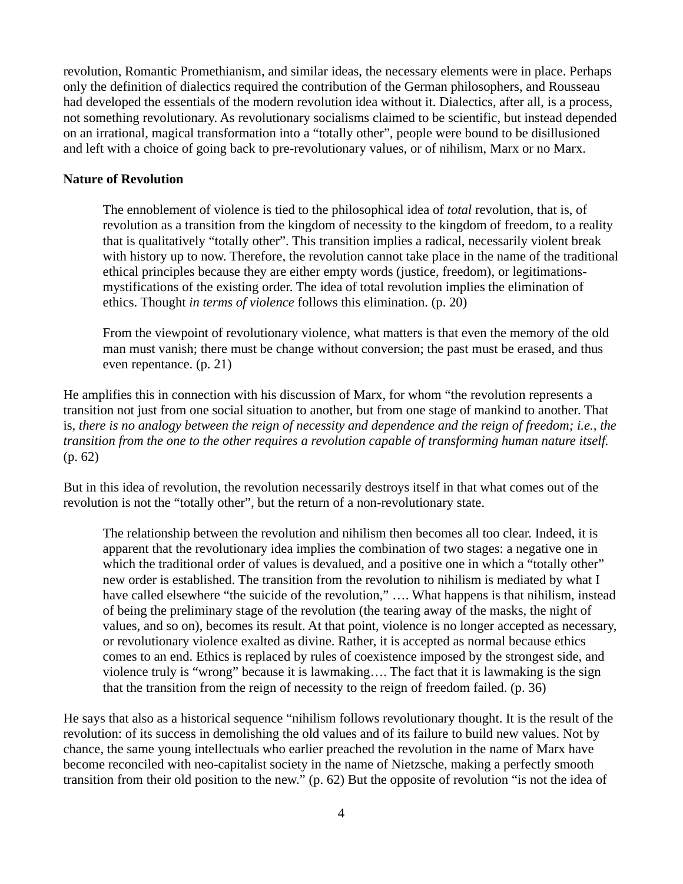revolution, Romantic Promethianism, and similar ideas, the necessary elements were in place. Perhaps only the definition of dialectics required the contribution of the German philosophers, and Rousseau had developed the essentials of the modern revolution idea without it. Dialectics, after all, is a process, not something revolutionary. As revolutionary socialisms claimed to be scientific, but instead depended on an irrational, magical transformation into a "totally other", people were bound to be disillusioned and left with a choice of going back to pre-revolutionary values, or of nihilism, Marx or no Marx.

#### **Nature of Revolution**

The ennoblement of violence is tied to the philosophical idea of *total* revolution, that is, of revolution as a transition from the kingdom of necessity to the kingdom of freedom, to a reality that is qualitatively "totally other". This transition implies a radical, necessarily violent break with history up to now. Therefore, the revolution cannot take place in the name of the traditional ethical principles because they are either empty words (justice, freedom), or legitimationsmystifications of the existing order. The idea of total revolution implies the elimination of ethics. Thought *in terms of violence* follows this elimination. (p. 20)

From the viewpoint of revolutionary violence, what matters is that even the memory of the old man must vanish; there must be change without conversion; the past must be erased, and thus even repentance. (p. 21)

He amplifies this in connection with his discussion of Marx, for whom "the revolution represents a transition not just from one social situation to another, but from one stage of mankind to another. That is, *there is no analogy between the reign of necessity and dependence and the reign of freedom; i.e., the transition from the one to the other requires a revolution capable of transforming human nature itself.* (p. 62)

But in this idea of revolution, the revolution necessarily destroys itself in that what comes out of the revolution is not the "totally other", but the return of a non-revolutionary state.

The relationship between the revolution and nihilism then becomes all too clear. Indeed, it is apparent that the revolutionary idea implies the combination of two stages: a negative one in which the traditional order of values is devalued, and a positive one in which a "totally other" new order is established. The transition from the revolution to nihilism is mediated by what I have called elsewhere "the suicide of the revolution," .... What happens is that nihilism, instead of being the preliminary stage of the revolution (the tearing away of the masks, the night of values, and so on), becomes its result. At that point, violence is no longer accepted as necessary, or revolutionary violence exalted as divine. Rather, it is accepted as normal because ethics comes to an end. Ethics is replaced by rules of coexistence imposed by the strongest side, and violence truly is "wrong" because it is lawmaking…. The fact that it is lawmaking is the sign that the transition from the reign of necessity to the reign of freedom failed. (p. 36)

He says that also as a historical sequence "nihilism follows revolutionary thought. It is the result of the revolution: of its success in demolishing the old values and of its failure to build new values. Not by chance, the same young intellectuals who earlier preached the revolution in the name of Marx have become reconciled with neo-capitalist society in the name of Nietzsche, making a perfectly smooth transition from their old position to the new." (p. 62) But the opposite of revolution "is not the idea of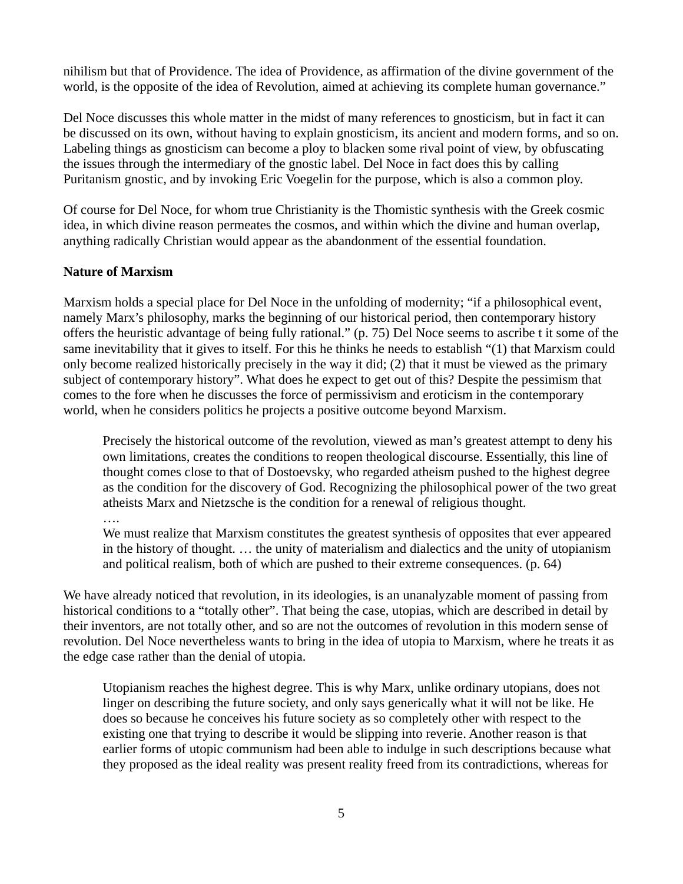nihilism but that of Providence. The idea of Providence, as affirmation of the divine government of the world, is the opposite of the idea of Revolution, aimed at achieving its complete human governance."

Del Noce discusses this whole matter in the midst of many references to gnosticism, but in fact it can be discussed on its own, without having to explain gnosticism, its ancient and modern forms, and so on. Labeling things as gnosticism can become a ploy to blacken some rival point of view, by obfuscating the issues through the intermediary of the gnostic label. Del Noce in fact does this by calling Puritanism gnostic, and by invoking Eric Voegelin for the purpose, which is also a common ploy.

Of course for Del Noce, for whom true Christianity is the Thomistic synthesis with the Greek cosmic idea, in which divine reason permeates the cosmos, and within which the divine and human overlap, anything radically Christian would appear as the abandonment of the essential foundation.

## **Nature of Marxism**

Marxism holds a special place for Del Noce in the unfolding of modernity; "if a philosophical event, namely Marx's philosophy, marks the beginning of our historical period, then contemporary history offers the heuristic advantage of being fully rational." (p. 75) Del Noce seems to ascribe t it some of the same inevitability that it gives to itself. For this he thinks he needs to establish "(1) that Marxism could only become realized historically precisely in the way it did; (2) that it must be viewed as the primary subject of contemporary history". What does he expect to get out of this? Despite the pessimism that comes to the fore when he discusses the force of permissivism and eroticism in the contemporary world, when he considers politics he projects a positive outcome beyond Marxism.

Precisely the historical outcome of the revolution, viewed as man's greatest attempt to deny his own limitations, creates the conditions to reopen theological discourse. Essentially, this line of thought comes close to that of Dostoevsky, who regarded atheism pushed to the highest degree as the condition for the discovery of God. Recognizing the philosophical power of the two great atheists Marx and Nietzsche is the condition for a renewal of religious thought.

#### ….

We must realize that Marxism constitutes the greatest synthesis of opposites that ever appeared in the history of thought. … the unity of materialism and dialectics and the unity of utopianism and political realism, both of which are pushed to their extreme consequences. (p. 64)

We have already noticed that revolution, in its ideologies, is an unanalyzable moment of passing from historical conditions to a "totally other". That being the case, utopias, which are described in detail by their inventors, are not totally other, and so are not the outcomes of revolution in this modern sense of revolution. Del Noce nevertheless wants to bring in the idea of utopia to Marxism, where he treats it as the edge case rather than the denial of utopia.

Utopianism reaches the highest degree. This is why Marx, unlike ordinary utopians, does not linger on describing the future society, and only says generically what it will not be like. He does so because he conceives his future society as so completely other with respect to the existing one that trying to describe it would be slipping into reverie. Another reason is that earlier forms of utopic communism had been able to indulge in such descriptions because what they proposed as the ideal reality was present reality freed from its contradictions, whereas for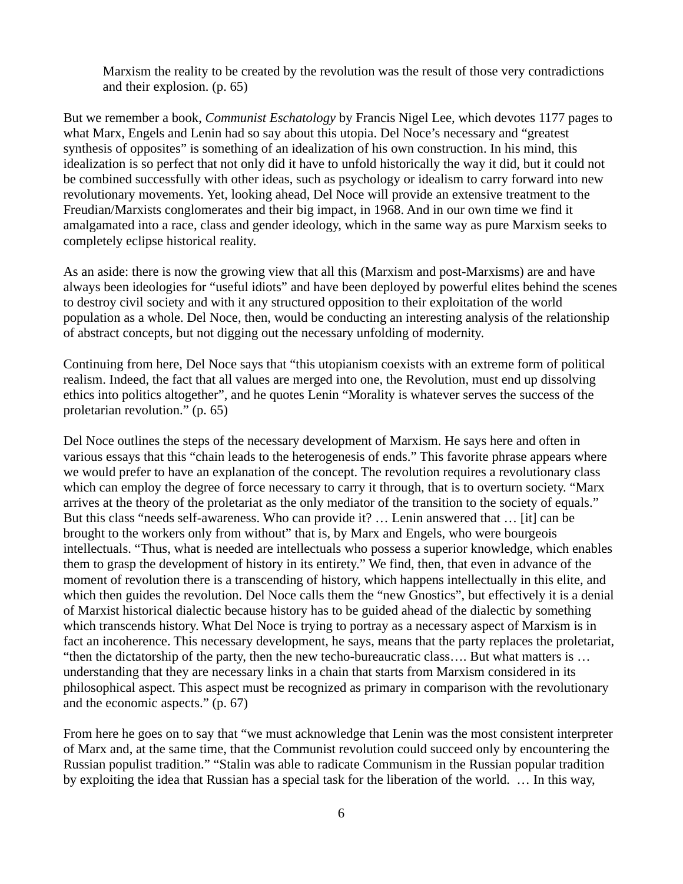Marxism the reality to be created by the revolution was the result of those very contradictions and their explosion. (p. 65)

But we remember a book, *Communist Eschatology* by Francis Nigel Lee, which devotes 1177 pages to what Marx, Engels and Lenin had so say about this utopia. Del Noce's necessary and "greatest synthesis of opposites" is something of an idealization of his own construction. In his mind, this idealization is so perfect that not only did it have to unfold historically the way it did, but it could not be combined successfully with other ideas, such as psychology or idealism to carry forward into new revolutionary movements. Yet, looking ahead, Del Noce will provide an extensive treatment to the Freudian/Marxists conglomerates and their big impact, in 1968. And in our own time we find it amalgamated into a race, class and gender ideology, which in the same way as pure Marxism seeks to completely eclipse historical reality.

As an aside: there is now the growing view that all this (Marxism and post-Marxisms) are and have always been ideologies for "useful idiots" and have been deployed by powerful elites behind the scenes to destroy civil society and with it any structured opposition to their exploitation of the world population as a whole. Del Noce, then, would be conducting an interesting analysis of the relationship of abstract concepts, but not digging out the necessary unfolding of modernity.

Continuing from here, Del Noce says that "this utopianism coexists with an extreme form of political realism. Indeed, the fact that all values are merged into one, the Revolution, must end up dissolving ethics into politics altogether", and he quotes Lenin "Morality is whatever serves the success of the proletarian revolution." (p. 65)

Del Noce outlines the steps of the necessary development of Marxism. He says here and often in various essays that this "chain leads to the heterogenesis of ends." This favorite phrase appears where we would prefer to have an explanation of the concept. The revolution requires a revolutionary class which can employ the degree of force necessary to carry it through, that is to overturn society. "Marx arrives at the theory of the proletariat as the only mediator of the transition to the society of equals." But this class "needs self-awareness. Who can provide it? … Lenin answered that … [it] can be brought to the workers only from without" that is, by Marx and Engels, who were bourgeois intellectuals. "Thus, what is needed are intellectuals who possess a superior knowledge, which enables them to grasp the development of history in its entirety." We find, then, that even in advance of the moment of revolution there is a transcending of history, which happens intellectually in this elite, and which then guides the revolution. Del Noce calls them the "new Gnostics", but effectively it is a denial of Marxist historical dialectic because history has to be guided ahead of the dialectic by something which transcends history. What Del Noce is trying to portray as a necessary aspect of Marxism is in fact an incoherence. This necessary development, he says, means that the party replaces the proletariat, "then the dictatorship of the party, then the new techo-bureaucratic class…. But what matters is … understanding that they are necessary links in a chain that starts from Marxism considered in its philosophical aspect. This aspect must be recognized as primary in comparison with the revolutionary and the economic aspects." (p. 67)

From here he goes on to say that "we must acknowledge that Lenin was the most consistent interpreter of Marx and, at the same time, that the Communist revolution could succeed only by encountering the Russian populist tradition." "Stalin was able to radicate Communism in the Russian popular tradition by exploiting the idea that Russian has a special task for the liberation of the world. … In this way,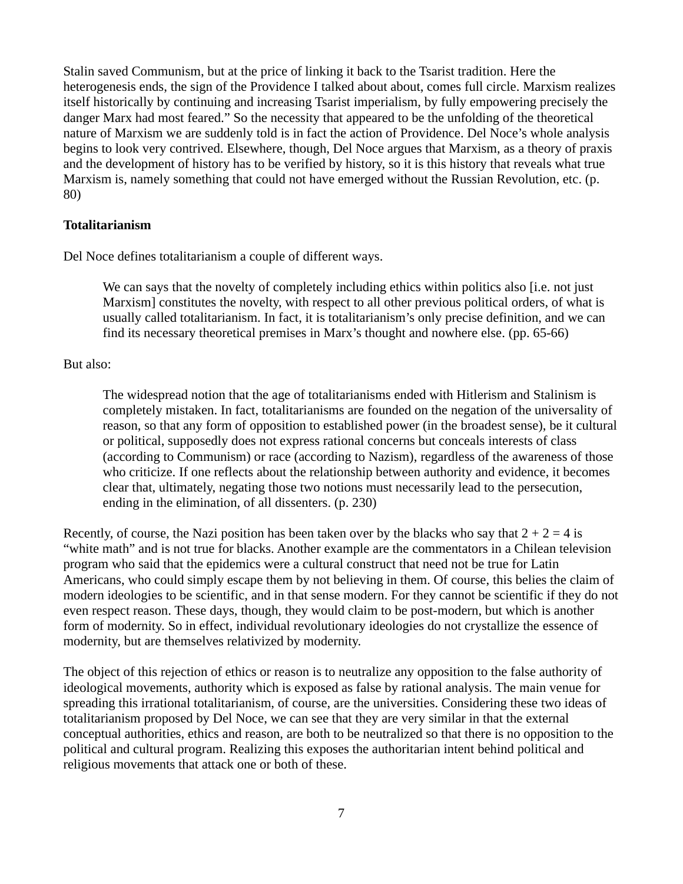Stalin saved Communism, but at the price of linking it back to the Tsarist tradition. Here the heterogenesis ends, the sign of the Providence I talked about about, comes full circle. Marxism realizes itself historically by continuing and increasing Tsarist imperialism, by fully empowering precisely the danger Marx had most feared." So the necessity that appeared to be the unfolding of the theoretical nature of Marxism we are suddenly told is in fact the action of Providence. Del Noce's whole analysis begins to look very contrived. Elsewhere, though, Del Noce argues that Marxism, as a theory of praxis and the development of history has to be verified by history, so it is this history that reveals what true Marxism is, namely something that could not have emerged without the Russian Revolution, etc. (p. 80)

#### **Totalitarianism**

Del Noce defines totalitarianism a couple of different ways.

We can says that the novelty of completely including ethics within politics also [i.e. not just Marxism] constitutes the novelty, with respect to all other previous political orders, of what is usually called totalitarianism. In fact, it is totalitarianism's only precise definition, and we can find its necessary theoretical premises in Marx's thought and nowhere else. (pp. 65-66)

## But also:

The widespread notion that the age of totalitarianisms ended with Hitlerism and Stalinism is completely mistaken. In fact, totalitarianisms are founded on the negation of the universality of reason, so that any form of opposition to established power (in the broadest sense), be it cultural or political, supposedly does not express rational concerns but conceals interests of class (according to Communism) or race (according to Nazism), regardless of the awareness of those who criticize. If one reflects about the relationship between authority and evidence, it becomes clear that, ultimately, negating those two notions must necessarily lead to the persecution, ending in the elimination, of all dissenters. (p. 230)

Recently, of course, the Nazi position has been taken over by the blacks who say that  $2 + 2 = 4$  is "white math" and is not true for blacks. Another example are the commentators in a Chilean television program who said that the epidemics were a cultural construct that need not be true for Latin Americans, who could simply escape them by not believing in them. Of course, this belies the claim of modern ideologies to be scientific, and in that sense modern. For they cannot be scientific if they do not even respect reason. These days, though, they would claim to be post-modern, but which is another form of modernity. So in effect, individual revolutionary ideologies do not crystallize the essence of modernity, but are themselves relativized by modernity.

The object of this rejection of ethics or reason is to neutralize any opposition to the false authority of ideological movements, authority which is exposed as false by rational analysis. The main venue for spreading this irrational totalitarianism, of course, are the universities. Considering these two ideas of totalitarianism proposed by Del Noce, we can see that they are very similar in that the external conceptual authorities, ethics and reason, are both to be neutralized so that there is no opposition to the political and cultural program. Realizing this exposes the authoritarian intent behind political and religious movements that attack one or both of these.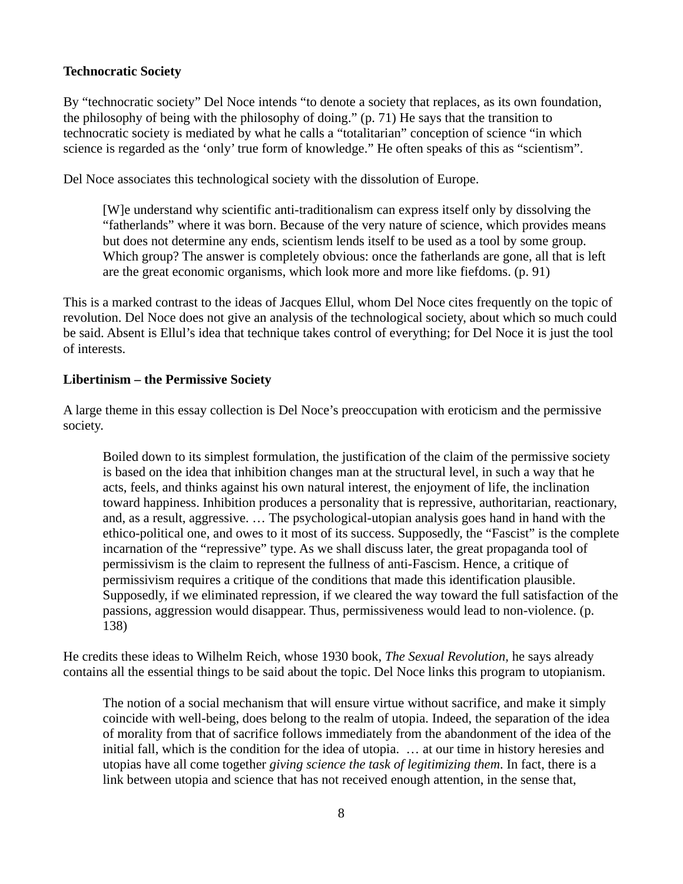## **Technocratic Society**

By "technocratic society" Del Noce intends "to denote a society that replaces, as its own foundation, the philosophy of being with the philosophy of doing." (p. 71) He says that the transition to technocratic society is mediated by what he calls a "totalitarian" conception of science "in which science is regarded as the 'only' true form of knowledge." He often speaks of this as "scientism".

Del Noce associates this technological society with the dissolution of Europe.

[W]e understand why scientific anti-traditionalism can express itself only by dissolving the "fatherlands" where it was born. Because of the very nature of science, which provides means but does not determine any ends, scientism lends itself to be used as a tool by some group. Which group? The answer is completely obvious: once the fatherlands are gone, all that is left are the great economic organisms, which look more and more like fiefdoms. (p. 91)

This is a marked contrast to the ideas of Jacques Ellul, whom Del Noce cites frequently on the topic of revolution. Del Noce does not give an analysis of the technological society, about which so much could be said. Absent is Ellul's idea that technique takes control of everything; for Del Noce it is just the tool of interests.

#### **Libertinism – the Permissive Society**

A large theme in this essay collection is Del Noce's preoccupation with eroticism and the permissive society.

Boiled down to its simplest formulation, the justification of the claim of the permissive society is based on the idea that inhibition changes man at the structural level, in such a way that he acts, feels, and thinks against his own natural interest, the enjoyment of life, the inclination toward happiness. Inhibition produces a personality that is repressive, authoritarian, reactionary, and, as a result, aggressive. … The psychological-utopian analysis goes hand in hand with the ethico-political one, and owes to it most of its success. Supposedly, the "Fascist" is the complete incarnation of the "repressive" type. As we shall discuss later, the great propaganda tool of permissivism is the claim to represent the fullness of anti-Fascism. Hence, a critique of permissivism requires a critique of the conditions that made this identification plausible. Supposedly, if we eliminated repression, if we cleared the way toward the full satisfaction of the passions, aggression would disappear. Thus, permissiveness would lead to non-violence. (p. 138)

He credits these ideas to Wilhelm Reich, whose 1930 book, *The Sexual Revolution,* he says already contains all the essential things to be said about the topic. Del Noce links this program to utopianism.

The notion of a social mechanism that will ensure virtue without sacrifice, and make it simply coincide with well-being, does belong to the realm of utopia. Indeed, the separation of the idea of morality from that of sacrifice follows immediately from the abandonment of the idea of the initial fall, which is the condition for the idea of utopia. … at our time in history heresies and utopias have all come together *giving science the task of legitimizing them*. In fact, there is a link between utopia and science that has not received enough attention, in the sense that,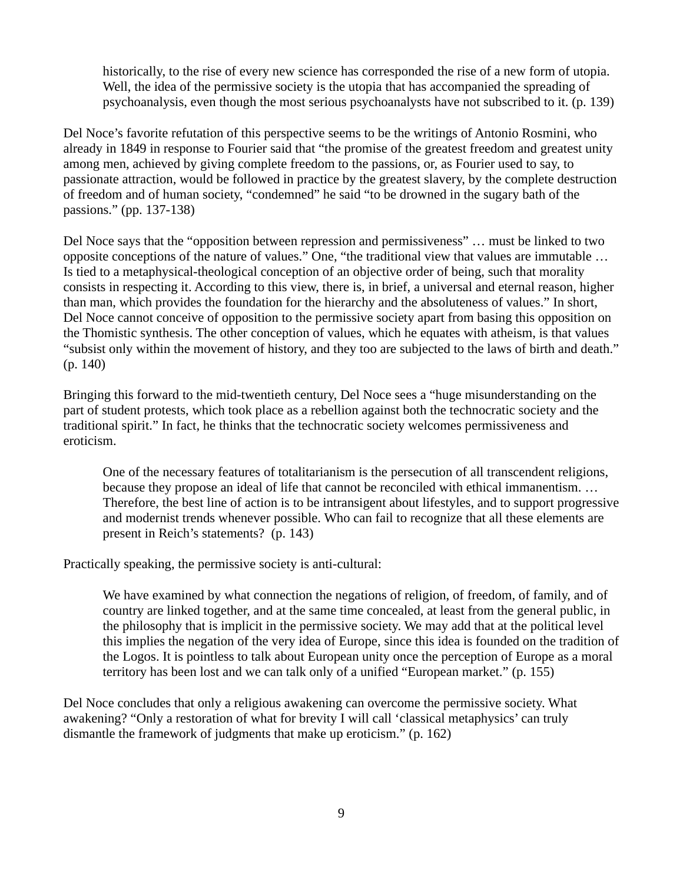historically, to the rise of every new science has corresponded the rise of a new form of utopia. Well, the idea of the permissive society is the utopia that has accompanied the spreading of psychoanalysis, even though the most serious psychoanalysts have not subscribed to it. (p. 139)

Del Noce's favorite refutation of this perspective seems to be the writings of Antonio Rosmini, who already in 1849 in response to Fourier said that "the promise of the greatest freedom and greatest unity among men, achieved by giving complete freedom to the passions, or, as Fourier used to say, to passionate attraction, would be followed in practice by the greatest slavery, by the complete destruction of freedom and of human society, "condemned" he said "to be drowned in the sugary bath of the passions." (pp. 137-138)

Del Noce says that the "opposition between repression and permissiveness" … must be linked to two opposite conceptions of the nature of values." One, "the traditional view that values are immutable … Is tied to a metaphysical-theological conception of an objective order of being, such that morality consists in respecting it. According to this view, there is, in brief, a universal and eternal reason, higher than man, which provides the foundation for the hierarchy and the absoluteness of values." In short, Del Noce cannot conceive of opposition to the permissive society apart from basing this opposition on the Thomistic synthesis. The other conception of values, which he equates with atheism, is that values "subsist only within the movement of history, and they too are subjected to the laws of birth and death." (p. 140)

Bringing this forward to the mid-twentieth century, Del Noce sees a "huge misunderstanding on the part of student protests, which took place as a rebellion against both the technocratic society and the traditional spirit." In fact, he thinks that the technocratic society welcomes permissiveness and eroticism.

One of the necessary features of totalitarianism is the persecution of all transcendent religions, because they propose an ideal of life that cannot be reconciled with ethical immanentism. … Therefore, the best line of action is to be intransigent about lifestyles, and to support progressive and modernist trends whenever possible. Who can fail to recognize that all these elements are present in Reich's statements? (p. 143)

Practically speaking, the permissive society is anti-cultural:

We have examined by what connection the negations of religion, of freedom, of family, and of country are linked together, and at the same time concealed, at least from the general public, in the philosophy that is implicit in the permissive society. We may add that at the political level this implies the negation of the very idea of Europe, since this idea is founded on the tradition of the Logos. It is pointless to talk about European unity once the perception of Europe as a moral territory has been lost and we can talk only of a unified "European market." (p. 155)

Del Noce concludes that only a religious awakening can overcome the permissive society. What awakening? "Only a restoration of what for brevity I will call 'classical metaphysics' can truly dismantle the framework of judgments that make up eroticism." (p. 162)